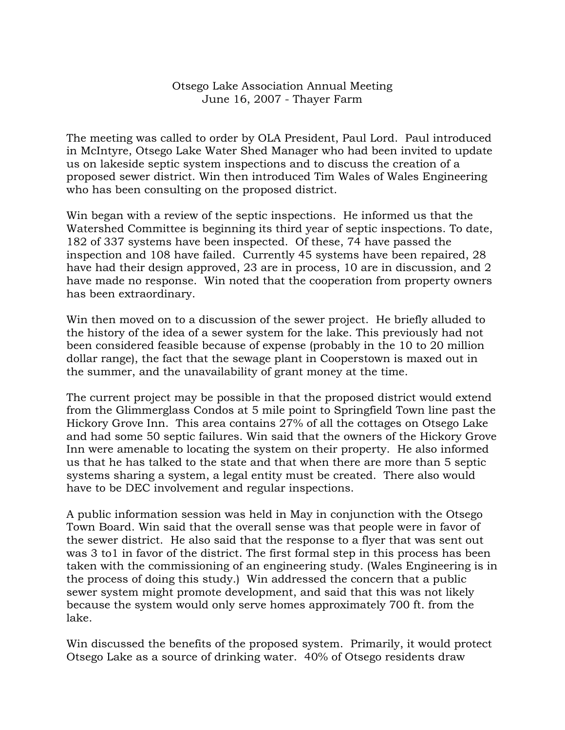## Otsego Lake Association Annual Meeting June 16, 2007 - Thayer Farm

The meeting was called to order by OLA President, Paul Lord. Paul introduced in McIntyre, Otsego Lake Water Shed Manager who had been invited to update us on lakeside septic system inspections and to discuss the creation of a proposed sewer district. Win then introduced Tim Wales of Wales Engineering who has been consulting on the proposed district.

Win began with a review of the septic inspections. He informed us that the Watershed Committee is beginning its third year of septic inspections. To date, 182 of 337 systems have been inspected. Of these, 74 have passed the inspection and 108 have failed. Currently 45 systems have been repaired, 28 have had their design approved, 23 are in process, 10 are in discussion, and 2 have made no response. Win noted that the cooperation from property owners has been extraordinary.

Win then moved on to a discussion of the sewer project. He briefly alluded to the history of the idea of a sewer system for the lake. This previously had not been considered feasible because of expense (probably in the 10 to 20 million dollar range), the fact that the sewage plant in Cooperstown is maxed out in the summer, and the unavailability of grant money at the time.

The current project may be possible in that the proposed district would extend from the Glimmerglass Condos at 5 mile point to Springfield Town line past the Hickory Grove Inn. This area contains 27% of all the cottages on Otsego Lake and had some 50 septic failures. Win said that the owners of the Hickory Grove Inn were amenable to locating the system on their property. He also informed us that he has talked to the state and that when there are more than 5 septic systems sharing a system, a legal entity must be created. There also would have to be DEC involvement and regular inspections.

A public information session was held in May in conjunction with the Otsego Town Board. Win said that the overall sense was that people were in favor of the sewer district. He also said that the response to a flyer that was sent out was 3 to1 in favor of the district. The first formal step in this process has been taken with the commissioning of an engineering study. (Wales Engineering is in the process of doing this study.) Win addressed the concern that a public sewer system might promote development, and said that this was not likely because the system would only serve homes approximately 700 ft. from the lake.

Win discussed the benefits of the proposed system. Primarily, it would protect Otsego Lake as a source of drinking water. 40% of Otsego residents draw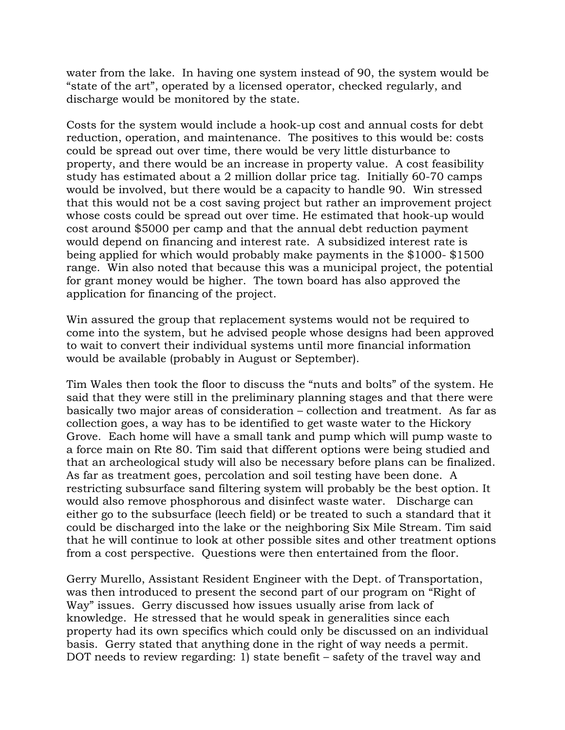water from the lake. In having one system instead of 90, the system would be "state of the art", operated by a licensed operator, checked regularly, and discharge would be monitored by the state.

Costs for the system would include a hook-up cost and annual costs for debt reduction, operation, and maintenance. The positives to this would be: costs could be spread out over time, there would be very little disturbance to property, and there would be an increase in property value. A cost feasibility study has estimated about a 2 million dollar price tag. Initially 60-70 camps would be involved, but there would be a capacity to handle 90. Win stressed that this would not be a cost saving project but rather an improvement project whose costs could be spread out over time. He estimated that hook-up would cost around \$5000 per camp and that the annual debt reduction payment would depend on financing and interest rate. A subsidized interest rate is being applied for which would probably make payments in the \$1000- \$1500 range. Win also noted that because this was a municipal project, the potential for grant money would be higher. The town board has also approved the application for financing of the project.

Win assured the group that replacement systems would not be required to come into the system, but he advised people whose designs had been approved to wait to convert their individual systems until more financial information would be available (probably in August or September).

Tim Wales then took the floor to discuss the "nuts and bolts" of the system. He said that they were still in the preliminary planning stages and that there were basically two major areas of consideration – collection and treatment. As far as collection goes, a way has to be identified to get waste water to the Hickory Grove. Each home will have a small tank and pump which will pump waste to a force main on Rte 80. Tim said that different options were being studied and that an archeological study will also be necessary before plans can be finalized. As far as treatment goes, percolation and soil testing have been done. A restricting subsurface sand filtering system will probably be the best option. It would also remove phosphorous and disinfect waste water. Discharge can either go to the subsurface (leech field) or be treated to such a standard that it could be discharged into the lake or the neighboring Six Mile Stream. Tim said that he will continue to look at other possible sites and other treatment options from a cost perspective. Questions were then entertained from the floor.

Gerry Murello, Assistant Resident Engineer with the Dept. of Transportation, was then introduced to present the second part of our program on "Right of Way" issues. Gerry discussed how issues usually arise from lack of knowledge. He stressed that he would speak in generalities since each property had its own specifics which could only be discussed on an individual basis. Gerry stated that anything done in the right of way needs a permit. DOT needs to review regarding: 1) state benefit – safety of the travel way and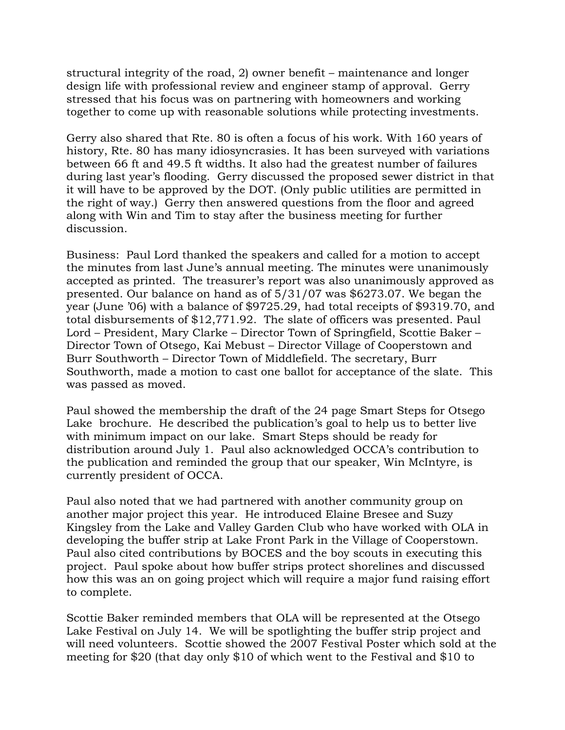structural integrity of the road, 2) owner benefit – maintenance and longer design life with professional review and engineer stamp of approval. Gerry stressed that his focus was on partnering with homeowners and working together to come up with reasonable solutions while protecting investments.

Gerry also shared that Rte. 80 is often a focus of his work. With 160 years of history, Rte. 80 has many idiosyncrasies. It has been surveyed with variations between 66 ft and 49.5 ft widths. It also had the greatest number of failures during last year's flooding. Gerry discussed the proposed sewer district in that it will have to be approved by the DOT. (Only public utilities are permitted in the right of way.) Gerry then answered questions from the floor and agreed along with Win and Tim to stay after the business meeting for further discussion.

Business: Paul Lord thanked the speakers and called for a motion to accept the minutes from last June's annual meeting. The minutes were unanimously accepted as printed. The treasurer's report was also unanimously approved as presented. Our balance on hand as of 5/31/07 was \$6273.07. We began the year (June '06) with a balance of \$9725.29, had total receipts of \$9319.70, and total disbursements of \$12,771.92. The slate of officers was presented. Paul Lord – President, Mary Clarke – Director Town of Springfield, Scottie Baker – Director Town of Otsego, Kai Mebust – Director Village of Cooperstown and Burr Southworth – Director Town of Middlefield. The secretary, Burr Southworth, made a motion to cast one ballot for acceptance of the slate. This was passed as moved.

Paul showed the membership the draft of the 24 page Smart Steps for Otsego Lake brochure. He described the publication's goal to help us to better live with minimum impact on our lake. Smart Steps should be ready for distribution around July 1. Paul also acknowledged OCCA's contribution to the publication and reminded the group that our speaker, Win McIntyre, is currently president of OCCA.

Paul also noted that we had partnered with another community group on another major project this year. He introduced Elaine Bresee and Suzy Kingsley from the Lake and Valley Garden Club who have worked with OLA in developing the buffer strip at Lake Front Park in the Village of Cooperstown. Paul also cited contributions by BOCES and the boy scouts in executing this project. Paul spoke about how buffer strips protect shorelines and discussed how this was an on going project which will require a major fund raising effort to complete.

Scottie Baker reminded members that OLA will be represented at the Otsego Lake Festival on July 14. We will be spotlighting the buffer strip project and will need volunteers. Scottie showed the 2007 Festival Poster which sold at the meeting for \$20 (that day only \$10 of which went to the Festival and \$10 to